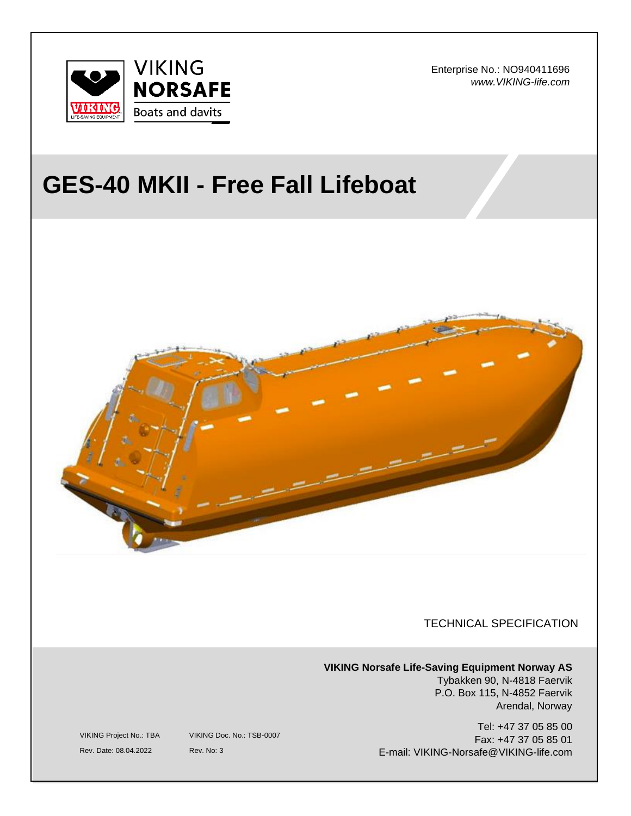

Enterprise No.: NO940411696 *www.VIKING-life.com*

# **GES-40 MKII - Free Fall Lifeboat**



TECHNICAL SPECIFICATION

**VIKING Norsafe Life-Saving Equipment Norway AS** Tybakken 90, N-4818 Faervik P.O. Box 115, N-4852 Faervik Arendal, Norway

> Tel: +47 37 05 85 00 Fax: +47 37 05 85 01 E-mail: VIKING-Norsafe@VIKING-life.com

VIKING Project No.: TBA VIKING Doc. No.: TSB-0007

Rev. Date: 08.04.2022 Rev. No: 3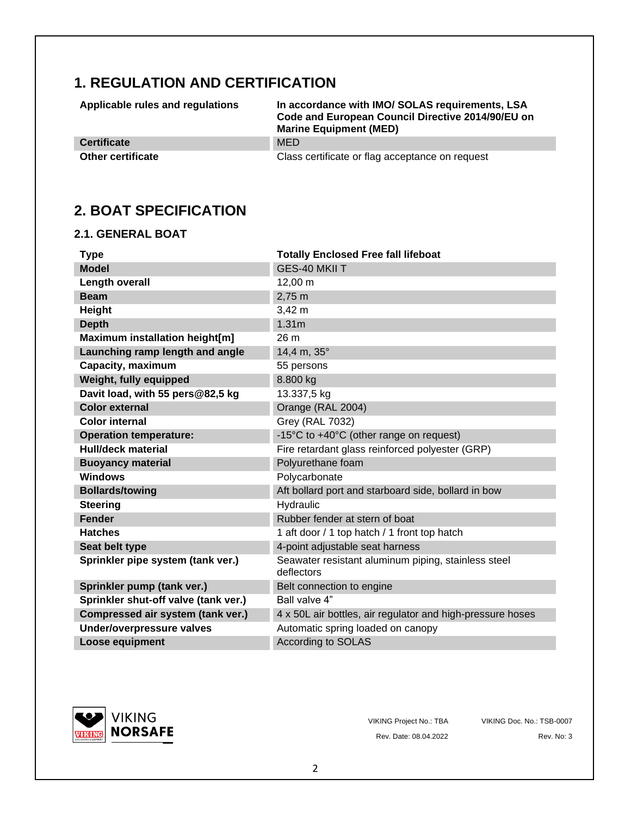## **1. REGULATION AND CERTIFICATION**

**Applicable rules and regulations In accordance with IMO/ SOLAS requirements, LSA Code and European Council Directive 2014/90/EU on Marine Equipment (MED)**

**Certificate** MED

**Other certificate** Class certificate or flag acceptance on request

## **2. BOAT SPECIFICATION**

#### **2.1. GENERAL BOAT**

| <b>Type</b>                          | <b>Totally Enclosed Free fall lifeboat</b>                        |
|--------------------------------------|-------------------------------------------------------------------|
| <b>Model</b>                         | GES-40 MKII T                                                     |
| <b>Length overall</b>                | 12,00 m                                                           |
| <b>Beam</b>                          | 2,75 m                                                            |
| Height                               | $3,42 \; m$                                                       |
| <b>Depth</b>                         | 1.31 <sub>m</sub>                                                 |
| Maximum installation height[m]       | 26 m                                                              |
| Launching ramp length and angle      | 14,4 m, 35°                                                       |
| Capacity, maximum                    | 55 persons                                                        |
| Weight, fully equipped               | 8.800 kg                                                          |
| Davit load, with 55 pers@82,5 kg     | 13.337,5 kg                                                       |
| <b>Color external</b>                | Orange (RAL 2004)                                                 |
| <b>Color internal</b>                | <b>Grey (RAL 7032)</b>                                            |
| <b>Operation temperature:</b>        | -15°C to +40°C (other range on request)                           |
| <b>Hull/deck material</b>            | Fire retardant glass reinforced polyester (GRP)                   |
| <b>Buoyancy material</b>             | Polyurethane foam                                                 |
| <b>Windows</b>                       | Polycarbonate                                                     |
| <b>Bollards/towing</b>               | Aft bollard port and starboard side, bollard in bow               |
| <b>Steering</b>                      | Hydraulic                                                         |
| <b>Fender</b>                        | Rubber fender at stern of boat                                    |
| <b>Hatches</b>                       | 1 aft door / 1 top hatch / 1 front top hatch                      |
| Seat belt type                       | 4-point adjustable seat harness                                   |
| Sprinkler pipe system (tank ver.)    | Seawater resistant aluminum piping, stainless steel<br>deflectors |
| Sprinkler pump (tank ver.)           | Belt connection to engine                                         |
| Sprinkler shut-off valve (tank ver.) | Ball valve 4"                                                     |
| Compressed air system (tank ver.)    | 4 x 50L air bottles, air regulator and high-pressure hoses        |
| Under/overpressure valves            | Automatic spring loaded on canopy                                 |
| <b>Loose equipment</b>               | <b>According to SOLAS</b>                                         |



Rev. Date: 08.04.2022 Rev. No: 3

VIKING Project No.: TBA VIKING Doc. No.: TSB-0007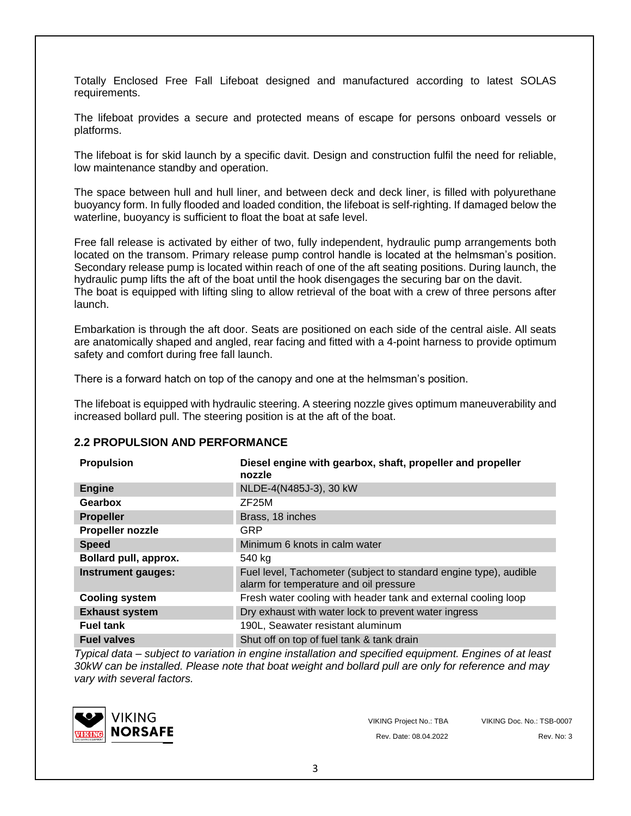Totally Enclosed Free Fall Lifeboat designed and manufactured according to latest SOLAS requirements.

The lifeboat provides a secure and protected means of escape for persons onboard vessels or platforms.

The lifeboat is for skid launch by a specific davit. Design and construction fulfil the need for reliable, low maintenance standby and operation.

The space between hull and hull liner, and between deck and deck liner, is filled with polyurethane buoyancy form. In fully flooded and loaded condition, the lifeboat is self-righting. If damaged below the waterline, buoyancy is sufficient to float the boat at safe level.

Free fall release is activated by either of two, fully independent, hydraulic pump arrangements both located on the transom. Primary release pump control handle is located at the helmsman's position. Secondary release pump is located within reach of one of the aft seating positions. During launch, the hydraulic pump lifts the aft of the boat until the hook disengages the securing bar on the davit. The boat is equipped with lifting sling to allow retrieval of the boat with a crew of three persons after launch.

Embarkation is through the aft door. Seats are positioned on each side of the central aisle. All seats are anatomically shaped and angled, rear facing and fitted with a 4-point harness to provide optimum safety and comfort during free fall launch.

There is a forward hatch on top of the canopy and one at the helmsman's position.

The lifeboat is equipped with hydraulic steering. A steering nozzle gives optimum maneuverability and increased bollard pull. The steering position is at the aft of the boat.

#### **2.2 PROPULSION AND PERFORMANCE**

| <b>Propulsion</b>         | Diesel engine with gearbox, shaft, propeller and propeller<br>nozzle                                        |
|---------------------------|-------------------------------------------------------------------------------------------------------------|
| <b>Engine</b>             | NLDE-4(N485J-3), 30 kW                                                                                      |
| Gearbox                   | ZF25M                                                                                                       |
| <b>Propeller</b>          | Brass, 18 inches                                                                                            |
| Propeller nozzle          | GRP                                                                                                         |
| <b>Speed</b>              | Minimum 6 knots in calm water                                                                               |
| Bollard pull, approx.     | 540 kg                                                                                                      |
| <b>Instrument gauges:</b> | Fuel level, Tachometer (subject to standard engine type), audible<br>alarm for temperature and oil pressure |
| <b>Cooling system</b>     | Fresh water cooling with header tank and external cooling loop                                              |
| <b>Exhaust system</b>     | Dry exhaust with water lock to prevent water ingress                                                        |
| <b>Fuel tank</b>          | 190L, Seawater resistant aluminum                                                                           |
| <b>Fuel valves</b>        | Shut off on top of fuel tank & tank drain                                                                   |

*Typical data – subject to variation in engine installation and specified equipment. Engines of at least 30kW can be installed. Please note that boat weight and bollard pull are only for reference and may vary with several factors.*



VIKING Project No.: TBA VIKING Doc. No.: TSB-0007 Rev. Date: 08.04.2022 Rev. No: 3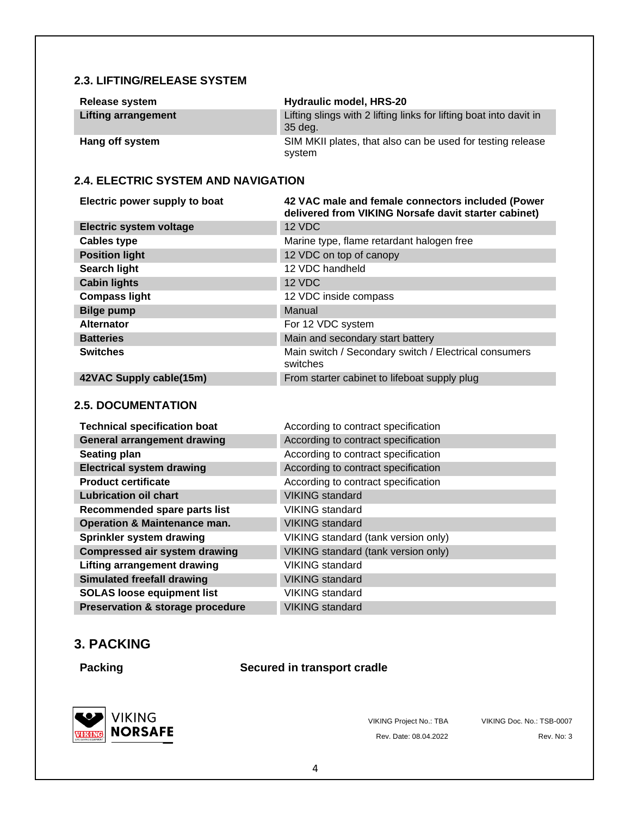#### **2.3. LIFTING/RELEASE SYSTEM**

| Release system      | Hydraulic model, HRS-20                                                       |
|---------------------|-------------------------------------------------------------------------------|
| Lifting arrangement | Lifting slings with 2 lifting links for lifting boat into davit in<br>35 deg. |
| Hang off system     | SIM MKII plates, that also can be used for testing release<br>system          |

#### **2.4. ELECTRIC SYSTEM AND NAVIGATION**

| Electric power supply to boat  | 42 VAC male and female connectors included (Power<br>delivered from VIKING Norsafe davit starter cabinet) |
|--------------------------------|-----------------------------------------------------------------------------------------------------------|
| <b>Electric system voltage</b> | 12 VDC                                                                                                    |
| <b>Cables type</b>             | Marine type, flame retardant halogen free                                                                 |
| <b>Position light</b>          | 12 VDC on top of canopy                                                                                   |
| <b>Search light</b>            | 12 VDC handheld                                                                                           |
| <b>Cabin lights</b>            | 12 VDC                                                                                                    |
| <b>Compass light</b>           | 12 VDC inside compass                                                                                     |
| <b>Bilge pump</b>              | Manual                                                                                                    |
| <b>Alternator</b>              | For 12 VDC system                                                                                         |
| <b>Batteries</b>               | Main and secondary start battery                                                                          |
| <b>Switches</b>                | Main switch / Secondary switch / Electrical consumers<br>switches                                         |
| 42VAC Supply cable(15m)        | From starter cabinet to lifeboat supply plug                                                              |

#### **2.5. DOCUMENTATION**

| <b>Technical specification boat</b>     | According to contract specification |
|-----------------------------------------|-------------------------------------|
| <b>General arrangement drawing</b>      | According to contract specification |
| <b>Seating plan</b>                     | According to contract specification |
| <b>Electrical system drawing</b>        | According to contract specification |
| <b>Product certificate</b>              | According to contract specification |
| <b>Lubrication oil chart</b>            | <b>VIKING standard</b>              |
| Recommended spare parts list            | VIKING standard                     |
| <b>Operation &amp; Maintenance man.</b> | <b>VIKING standard</b>              |
| Sprinkler system drawing                | VIKING standard (tank version only) |
| <b>Compressed air system drawing</b>    | VIKING standard (tank version only) |
| <b>Lifting arrangement drawing</b>      | VIKING standard                     |
| <b>Simulated freefall drawing</b>       | <b>VIKING</b> standard              |
| <b>SOLAS loose equipment list</b>       | VIKING standard                     |
| Preservation & storage procedure        | <b>VIKING</b> standard              |

### **3. PACKING**

#### **Packing Secured in transport cradle**



VIKING Project No.: TBA VIKING Doc. No.: TSB-0007

Rev. Date: 08.04.2022 Rev. No: 3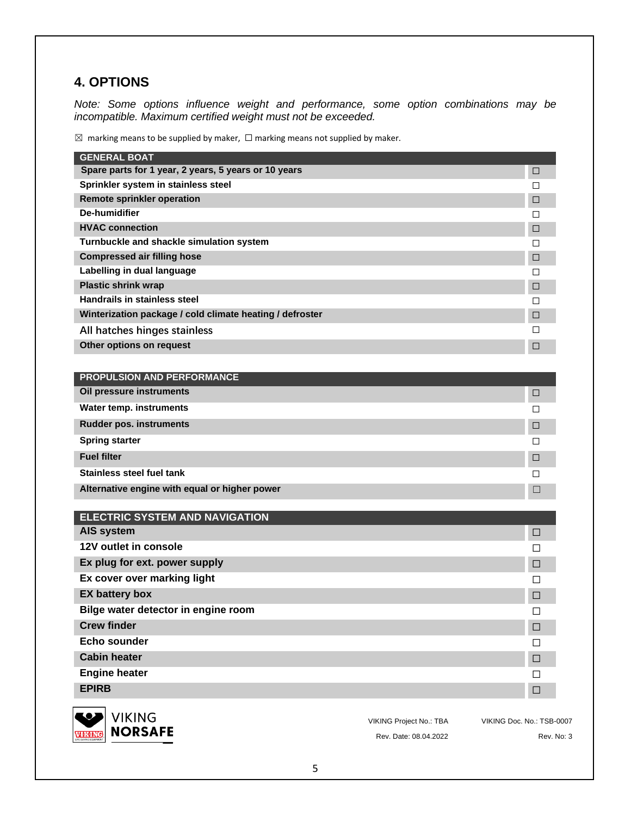## **4. OPTIONS**

*Note: Some options influence weight and performance, some option combinations may be incompatible. Maximum certified weight must not be exceeded.* 

 $\boxtimes$  marking means to be supplied by maker,  $\Box$  marking means not supplied by maker.

| <b>GENERAL BOAT</b>                                              |                                |                           |
|------------------------------------------------------------------|--------------------------------|---------------------------|
| Spare parts for 1 year, 2 years, 5 years or 10 years             |                                | □                         |
| Sprinkler system in stainless steel                              |                                | □                         |
| <b>Remote sprinkler operation</b>                                |                                | □                         |
| <b>De-humidifier</b>                                             |                                | □                         |
| <b>HVAC connection</b>                                           |                                | □                         |
| Turnbuckle and shackle simulation system                         |                                | □                         |
| <b>Compressed air filling hose</b><br>Labelling in dual language |                                | $\Box$                    |
| <b>Plastic shrink wrap</b>                                       |                                | П                         |
| <b>Handrails in stainless steel</b>                              |                                | □<br>□                    |
| Winterization package / cold climate heating / defroster         |                                | □                         |
| All hatches hinges stainless                                     |                                | □                         |
| Other options on request                                         |                                |                           |
|                                                                  |                                | □                         |
| <b>PROPULSION AND PERFORMANCE</b>                                |                                |                           |
| Oil pressure instruments                                         |                                | □                         |
| <b>Water temp. instruments</b>                                   |                                | □                         |
| <b>Rudder pos. instruments</b>                                   |                                | □                         |
| <b>Spring starter</b>                                            |                                | □                         |
| <b>Fuel filter</b>                                               |                                | □                         |
| <b>Stainless steel fuel tank</b>                                 |                                | □                         |
| Alternative engine with equal or higher power                    |                                | □                         |
| <b>ELECTRIC SYSTEM AND NAVIGATION</b>                            |                                |                           |
| AIS system                                                       |                                | □                         |
| 12V outlet in console                                            |                                | ΙI                        |
| Ex plug for ext. power supply                                    |                                | □                         |
| Ex cover over marking light                                      |                                |                           |
| <b>EX battery box</b>                                            |                                | П                         |
|                                                                  |                                | □                         |
| Bilge water detector in engine room                              |                                | $\Box$                    |
| <b>Crew finder</b>                                               |                                | $\Box$                    |
| Echo sounder                                                     |                                | □                         |
| <b>Cabin heater</b>                                              |                                | □                         |
| <b>Engine heater</b>                                             |                                | □                         |
| <b>EPIRB</b>                                                     |                                | $\Box$                    |
|                                                                  |                                |                           |
| <b>VIKING</b>                                                    | <b>VIKING Project No.: TBA</b> | VIKING Doc. No.: TSB-0007 |



Rev. Date: 08.04.2022 Rev. No: 3